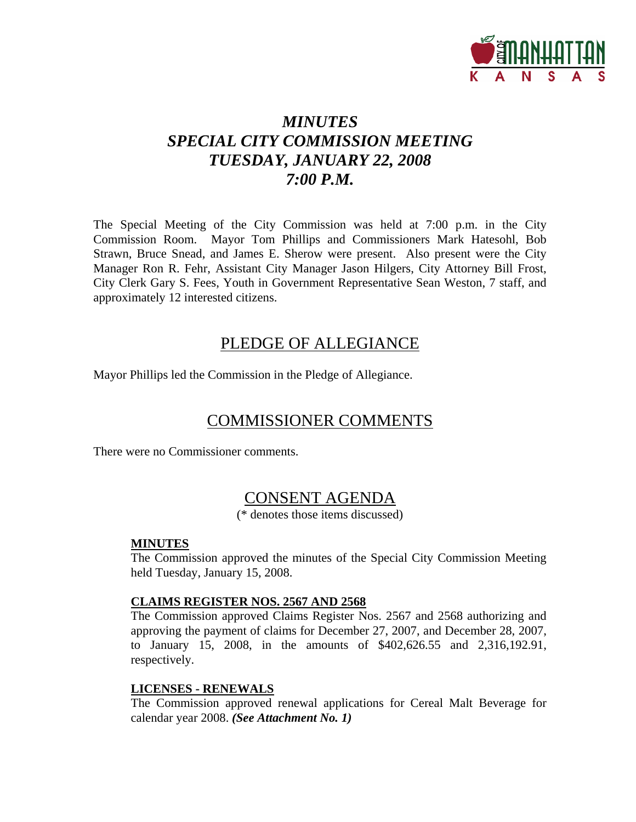

# *MINUTES SPECIAL CITY COMMISSION MEETING TUESDAY, JANUARY 22, 2008 7:00 P.M.*

The Special Meeting of the City Commission was held at 7:00 p.m. in the City Commission Room. Mayor Tom Phillips and Commissioners Mark Hatesohl, Bob Strawn, Bruce Snead, and James E. Sherow were present. Also present were the City Manager Ron R. Fehr, Assistant City Manager Jason Hilgers, City Attorney Bill Frost, City Clerk Gary S. Fees, Youth in Government Representative Sean Weston, 7 staff, and approximately 12 interested citizens.

## PLEDGE OF ALLEGIANCE

Mayor Phillips led the Commission in the Pledge of Allegiance.

# COMMISSIONER COMMENTS

There were no Commissioner comments.

# CONSENT AGENDA

(\* denotes those items discussed)

#### **MINUTES**

The Commission approved the minutes of the Special City Commission Meeting held Tuesday, January 15, 2008.

#### **CLAIMS REGISTER NOS. 2567 AND 2568**

The Commission approved Claims Register Nos. 2567 and 2568 authorizing and approving the payment of claims for December 27, 2007, and December 28, 2007, to January 15, 2008, in the amounts of \$402,626.55 and 2,316,192.91, respectively.

#### **LICENSES - RENEWALS**

The Commission approved renewal applications for Cereal Malt Beverage for calendar year 2008. *(See Attachment No. 1)*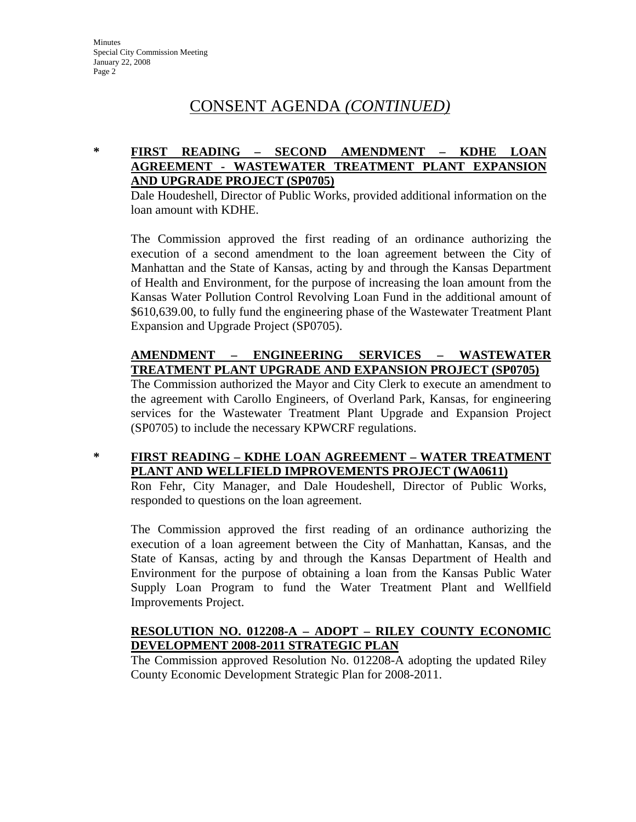# CONSENT AGENDA *(CONTINUED)*

#### **\* FIRST READING – SECOND AMENDMENT – KDHE LOAN AGREEMENT - WASTEWATER TREATMENT PLANT EXPANSION AND UPGRADE PROJECT (SP0705)**

Dale Houdeshell, Director of Public Works, provided additional information on the loan amount with KDHE.

The Commission approved the first reading of an ordinance authorizing the execution of a second amendment to the loan agreement between the City of Manhattan and the State of Kansas, acting by and through the Kansas Department of Health and Environment, for the purpose of increasing the loan amount from the Kansas Water Pollution Control Revolving Loan Fund in the additional amount of \$610,639.00, to fully fund the engineering phase of the Wastewater Treatment Plant Expansion and Upgrade Project (SP0705).

#### **AMENDMENT – ENGINEERING SERVICES – WASTEWATER TREATMENT PLANT UPGRADE AND EXPANSION PROJECT (SP0705)**

The Commission authorized the Mayor and City Clerk to execute an amendment to the agreement with Carollo Engineers, of Overland Park, Kansas, for engineering services for the Wastewater Treatment Plant Upgrade and Expansion Project (SP0705) to include the necessary KPWCRF regulations.

### **\* FIRST READING – KDHE LOAN AGREEMENT – WATER TREATMENT PLANT AND WELLFIELD IMPROVEMENTS PROJECT (WA0611)**

Ron Fehr, City Manager, and Dale Houdeshell, Director of Public Works, responded to questions on the loan agreement.

The Commission approved the first reading of an ordinance authorizing the execution of a loan agreement between the City of Manhattan, Kansas, and the State of Kansas, acting by and through the Kansas Department of Health and Environment for the purpose of obtaining a loan from the Kansas Public Water Supply Loan Program to fund the Water Treatment Plant and Wellfield Improvements Project.

### **RESOLUTION NO. 012208-A – ADOPT – RILEY COUNTY ECONOMIC DEVELOPMENT 2008-2011 STRATEGIC PLAN**

The Commission approved Resolution No. 012208-A adopting the updated Riley County Economic Development Strategic Plan for 2008-2011.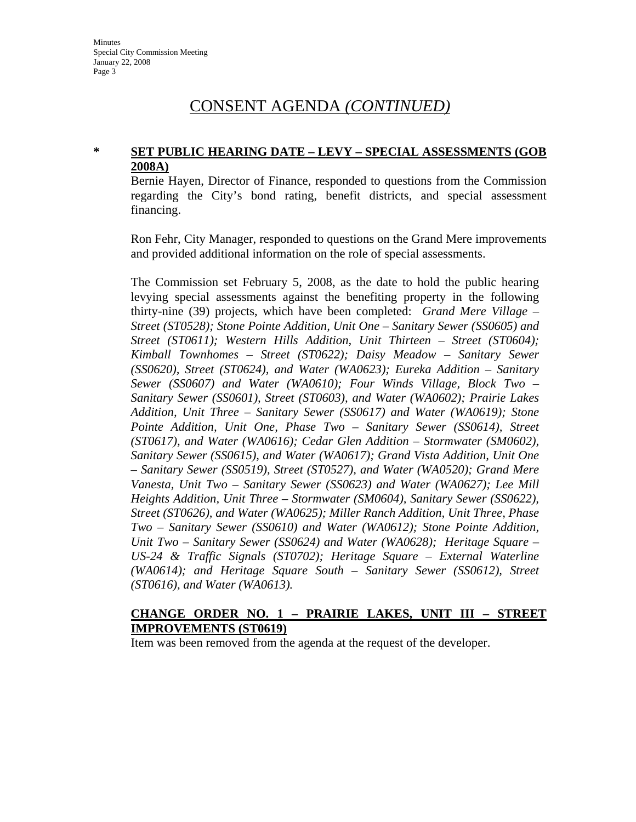## CONSENT AGENDA *(CONTINUED)*

#### **\* SET PUBLIC HEARING DATE – LEVY – SPECIAL ASSESSMENTS (GOB 2008A)**

Bernie Hayen, Director of Finance, responded to questions from the Commission regarding the City's bond rating, benefit districts, and special assessment financing.

Ron Fehr, City Manager, responded to questions on the Grand Mere improvements and provided additional information on the role of special assessments.

The Commission set February 5, 2008, as the date to hold the public hearing levying special assessments against the benefiting property in the following thirty-nine (39) projects, which have been completed: *Grand Mere Village – Street (ST0528); Stone Pointe Addition, Unit One – Sanitary Sewer (SS0605) and Street (ST0611); Western Hills Addition, Unit Thirteen – Street (ST0604); Kimball Townhomes – Street (ST0622); Daisy Meadow – Sanitary Sewer (SS0620), Street (ST0624), and Water (WA0623); Eureka Addition – Sanitary Sewer (SS0607) and Water (WA0610); Four Winds Village, Block Two – Sanitary Sewer (SS0601), Street (ST0603), and Water (WA0602); Prairie Lakes Addition, Unit Three – Sanitary Sewer (SS0617) and Water (WA0619); Stone Pointe Addition, Unit One, Phase Two – Sanitary Sewer (SS0614), Street (ST0617), and Water (WA0616); Cedar Glen Addition – Stormwater (SM0602), Sanitary Sewer (SS0615), and Water (WA0617); Grand Vista Addition, Unit One – Sanitary Sewer (SS0519), Street (ST0527), and Water (WA0520); Grand Mere Vanesta, Unit Two – Sanitary Sewer (SS0623) and Water (WA0627); Lee Mill Heights Addition, Unit Three – Stormwater (SM0604), Sanitary Sewer (SS0622), Street (ST0626), and Water (WA0625); Miller Ranch Addition, Unit Three, Phase Two – Sanitary Sewer (SS0610) and Water (WA0612); Stone Pointe Addition, Unit Two – Sanitary Sewer (SS0624) and Water (WA0628); Heritage Square – US-24 & Traffic Signals (ST0702); Heritage Square – External Waterline (WA0614); and Heritage Square South – Sanitary Sewer (SS0612), Street (ST0616), and Water (WA0613).* 

#### **CHANGE ORDER NO. 1 – PRAIRIE LAKES, UNIT III – STREET IMPROVEMENTS (ST0619)**

Item was been removed from the agenda at the request of the developer.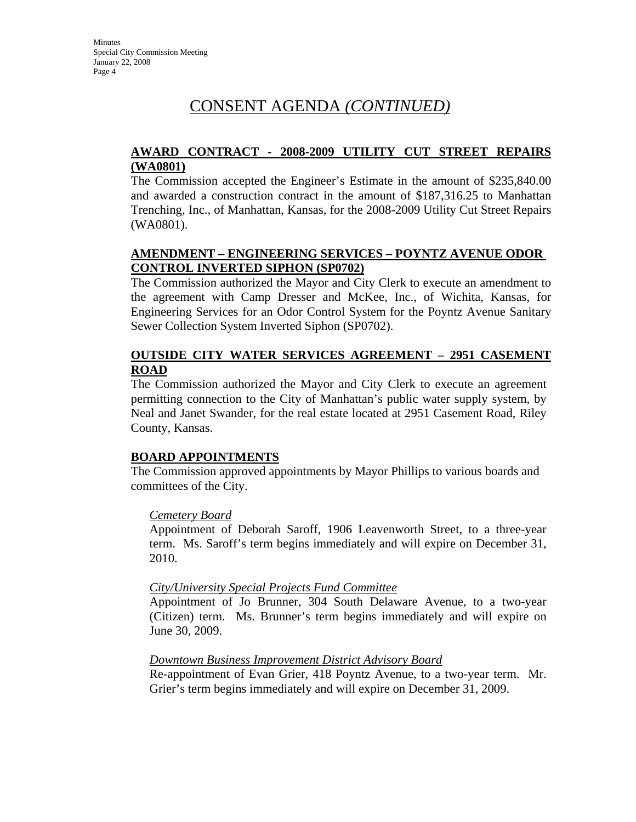# CONSENT AGENDA *(CONTINUED)*

### **AWARD CONTRACT - 2008-2009 UTILITY CUT STREET REPAIRS (WA0801)**

The Commission accepted the Engineer's Estimate in the amount of \$235,840.00 and awarded a construction contract in the amount of \$187,316.25 to Manhattan Trenching, Inc., of Manhattan, Kansas, for the 2008-2009 Utility Cut Street Repairs (WA0801).

### **AMENDMENT – ENGINEERING SERVICES – POYNTZ AVENUE ODOR CONTROL INVERTED SIPHON (SP0702)**

The Commission authorized the Mayor and City Clerk to execute an amendment to the agreement with Camp Dresser and McKee, Inc., of Wichita, Kansas, for Engineering Services for an Odor Control System for the Poyntz Avenue Sanitary Sewer Collection System Inverted Siphon (SP0702).

#### **OUTSIDE CITY WATER SERVICES AGREEMENT – 2951 CASEMENT ROAD**

The Commission authorized the Mayor and City Clerk to execute an agreement permitting connection to the City of Manhattan's public water supply system, by Neal and Janet Swander, for the real estate located at 2951 Casement Road, Riley County, Kansas.

#### **BOARD APPOINTMENTS**

The Commission approved appointments by Mayor Phillips to various boards and committees of the City.

#### *Cemetery Board*

Appointment of Deborah Saroff, 1906 Leavenworth Street, to a three-year term. Ms. Saroff's term begins immediately and will expire on December 31, 2010.

#### *City/University Special Projects Fund Committee*

Appointment of Jo Brunner, 304 South Delaware Avenue, to a two-year (Citizen) term. Ms. Brunner's term begins immediately and will expire on June 30, 2009.

#### *Downtown Business Improvement District Advisory Board*

Re-appointment of Evan Grier, 418 Poyntz Avenue, to a two-year term. Mr. Grier's term begins immediately and will expire on December 31, 2009.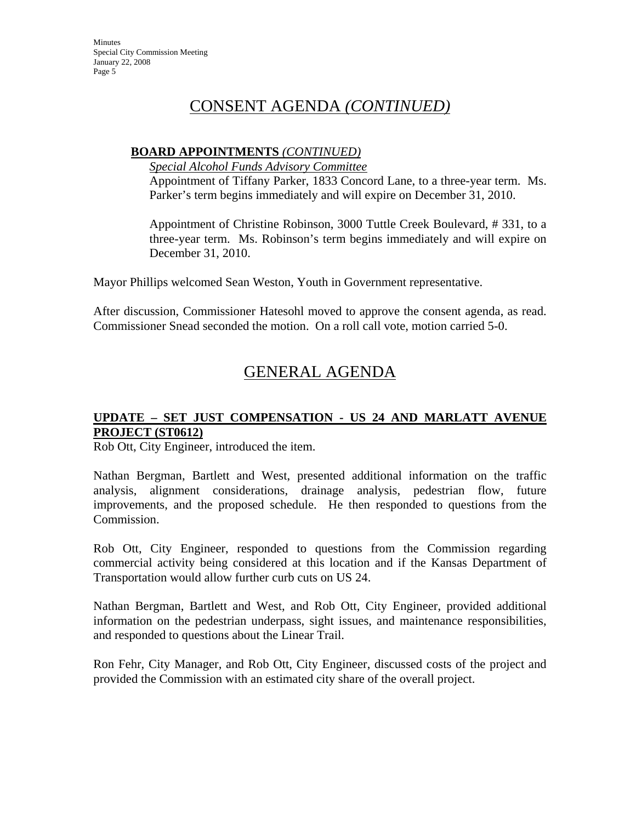**Minutes** Special City Commission Meeting January 22, 2008 Page 5

## CONSENT AGENDA *(CONTINUED)*

#### **BOARD APPOINTMENTS** *(CONTINUED)*

*Special Alcohol Funds Advisory Committee*

Appointment of Tiffany Parker, 1833 Concord Lane, to a three-year term. Ms. Parker's term begins immediately and will expire on December 31, 2010.

Appointment of Christine Robinson, 3000 Tuttle Creek Boulevard, # 331, to a three-year term. Ms. Robinson's term begins immediately and will expire on December 31, 2010.

Mayor Phillips welcomed Sean Weston, Youth in Government representative.

After discussion, Commissioner Hatesohl moved to approve the consent agenda, as read. Commissioner Snead seconded the motion. On a roll call vote, motion carried 5-0.

# GENERAL AGENDA

#### **UPDATE – SET JUST COMPENSATION - US 24 AND MARLATT AVENUE PROJECT (ST0612)**

Rob Ott, City Engineer, introduced the item.

Nathan Bergman, Bartlett and West, presented additional information on the traffic analysis, alignment considerations, drainage analysis, pedestrian flow, future improvements, and the proposed schedule. He then responded to questions from the Commission.

Rob Ott, City Engineer, responded to questions from the Commission regarding commercial activity being considered at this location and if the Kansas Department of Transportation would allow further curb cuts on US 24.

Nathan Bergman, Bartlett and West, and Rob Ott, City Engineer, provided additional information on the pedestrian underpass, sight issues, and maintenance responsibilities, and responded to questions about the Linear Trail.

Ron Fehr, City Manager, and Rob Ott, City Engineer, discussed costs of the project and provided the Commission with an estimated city share of the overall project.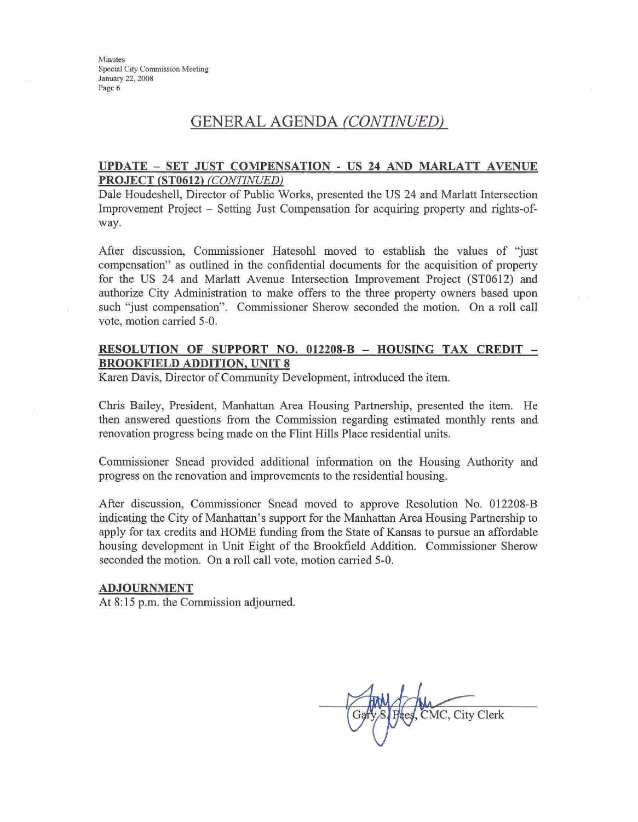Minutes Special City Commission Meeting January 22, 2008 Page 6

## GENERAL **AGENDA** *(CONZWZJED)*

#### **UPDATE** - **SET JUST COMPENSATION** - **US 24 AND MARLATT AVENUE PROJECT (ST0612) (CONTINUED)**

Dale Houdeshell, Director of Public Works, presented the US 24 and Marlatt Intersection Improvement Project - Setting Just Compensation for acquiring property and rights-ofway.

After discussion, Commissioner Hatesohl moved to establish the values of **"just**  compensation" as outlined in the confidential documents for the acquisition of property for the **US** 24 and **Mmlatt** Avenue Intersection Improvement Project **(ST0612) and**  authorize City Administration to make offers to the **three** property owners based upon such "just compensation". Commissioner Sherow seconded the motion. On a roll call vote, motion carried **5-0.** 

#### **RESOLUTION-OF SUPPORT NO. 012208-B** - **HOUSING TAX CREDIT** - **BRQOKFIELD ADDITION. UNIT 8**

Karen Davis, Director of Community Development, introduced the item.

Chris Bailey, President, Manhattan Area Housing Partnership, presented the item. He then answered question8 from the Commission regarding estimated monthly rents and renovation progress being made on the Flint Hills Place residential units.

Commissioner Snead provided additional information on the Housing Authority and progress on the renovation and improvements to the residential housing.

After discussion, Commissioner Snead moved to approve Resolution No. **012208-B**  indicating the City of Manhattan's support for the Manhattan Area Housing Partnership to apply for tax credits and HOME funding from the State of Kansas to pursue an affordable housing development in **Unit** Eight of the Brookfield Addition. Commissioner Sherow seconded the motion **On** a roll call vote, motion carried **5-0.** 

#### **ADJOURNMENT**

At 8:15 p.m. the Commission adjourned.

CMC, City Clerk